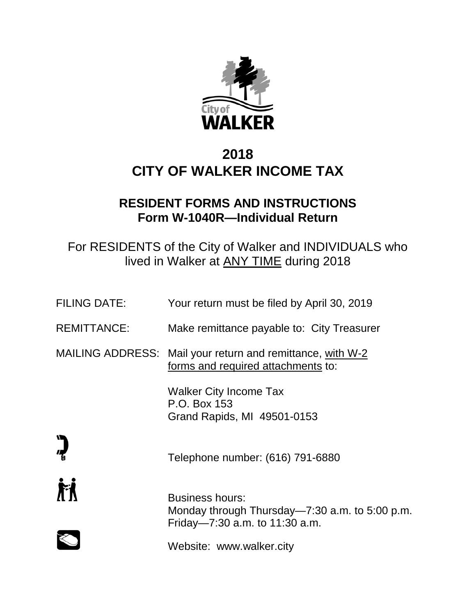

# **2018 CITY OF WALKER INCOME TAX**

# **RESIDENT FORMS AND INSTRUCTIONS Form W-1040R—Individual Return**

For RESIDENTS of the City of Walker and INDIVIDUALS who lived in Walker at ANY TIME during 2018

| <b>FILING DATE:</b> | Your return must be filed by April 30, 2019                                                                  |
|---------------------|--------------------------------------------------------------------------------------------------------------|
| <b>REMITTANCE:</b>  | Make remittance payable to: City Treasurer                                                                   |
|                     | MAILING ADDRESS: Mail your return and remittance, with W-2<br>forms and required attachments to:             |
|                     | <b>Walker City Income Tax</b><br>P.O. Box 153<br>Grand Rapids, MI 49501-0153                                 |
| $\sum_{i=1}^n$      | Telephone number: (616) 791-6880                                                                             |
| 眉                   | <b>Business hours:</b><br>Monday through Thursday—7:30 a.m. to 5:00 p.m.<br>Friday-7:30 a.m. to $11:30$ a.m. |
|                     | Website: www.walker.city                                                                                     |
|                     |                                                                                                              |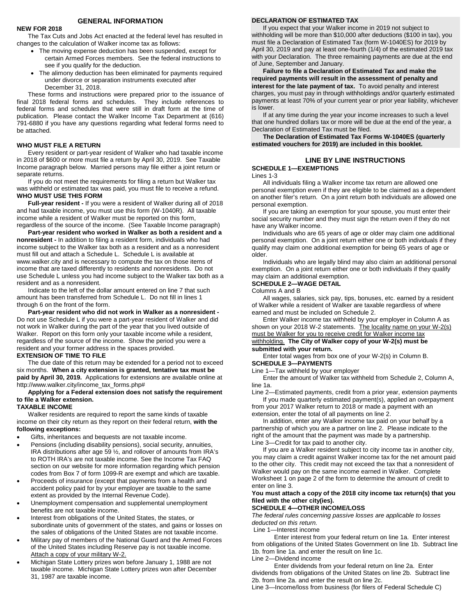# **GENERAL INFORMATION**

#### **NEW FOR 2018**

The Tax Cuts and Jobs Act enacted at the federal level has resulted in changes to the calculation of Walker income tax as follows:

- The moving expense deduction has been suspended, except for certain Armed Forces members. See the federal instructions to see if you qualify for the deduction.
- The alimony deduction has been eliminated for payments required under divorce or separation instruments executed after December 31, 2018.

These forms and instructions were prepared prior to the issuance of final 2018 federal forms and schedules. They include references to federal forms and schedules that were still in draft form at the time of publication. Please contact the Walker Income Tax Department at (616) 791-6880 if you have any questions regarding what federal forms need to be attached.

#### **WHO MUST FILE A RETURN**

Every resident or part-year resident of Walker who had taxable income in 2018 of \$600 or more must file a return by April 30, 2019. See Taxable Income paragraph below. Married persons may file either a joint return or separate returns.

If you do not meet the requirements for filing a return but Walker tax was withheld or estimated tax was paid, you must file to receive a refund. **WHO MUST USE THIS FORM**

**Full-year resident -** If you were a resident of Walker during all of 2018 and had taxable income, you must use this form (W-1040R). All taxable income while a resident of Walker must be reported on this form, regardless of the source of the income. (See Taxable Income paragraph)

**Part-year resident who worked in Walker as both a resident and a nonresident -** In addition to filing a resident form, individuals who had income subject to the Walker tax both as a resident and as a nonresident must fill out and attach a Schedule L. Schedule L is available at www.walker.city and is necessary to compute the tax on those items of income that are taxed differently to residents and nonresidents. Do not use Schedule L unless you had income subject to the Walker tax both as a resident and as a nonresident.

Indicate to the left of the dollar amount entered on line 7 that such amount has been transferred from Schedule L. Do not fill in lines 1 through 6 on the front of the form.

**Part-year resident who did not work in Walker as a nonresident -** Do not use Schedule L if you were a part-year resident of Walker and did not work in Walker during the part of the year that you lived outside of Walker. Report on this form only your taxable income while a resident, regardless of the source of the income. Show the period you were a resident and your former address in the spaces provided.

#### **EXTENSION OF TIME TO FILE**

The due date of this return may be extended for a period not to exceed six months. **When a city extension is granted, tentative tax must be paid by April 30, 2019.** Applications for extensions are available online at http://www.walker.city/income\_tax\_forms.php#

# **Applying for a Federal extension does not satisfy the requirement to file a Walker extension.**

#### **TAXABLE INCOME**

Walker residents are required to report the same kinds of taxable income on their city return as they report on their federal return, **with the following exceptions:**

- Gifts, inheritances and bequests are not taxable income.
- Pensions (including disability pensions), social security, annuities, IRA distributions after age 59 ½, and rollover of amounts from IRA's to ROTH IRA's are not taxable income. See the Income Tax FAQ section on our website for more information regarding which pension codes from Box 7 of form 1099-R are exempt and which are taxable.
- Proceeds of insurance (except that payments from a health and accident policy paid for by your employer are taxable to the same extent as provided by the Internal Revenue Code).
- Unemployment compensation and supplemental unemployment benefits are not taxable income.
- Interest from obligations of the United States, the states, or subordinate units of government of the states, and gains or losses on the sales of obligations of the United States are not taxable income.
- Military pay of members of the National Guard and the Armed Forces of the United States including Reserve pay is not taxable income. Attach a copy of your military W-2.
- Michigan State Lottery prizes won before January 1, 1988 are not taxable income. Michigan State Lottery prizes won after December 31, 1987 are taxable income.

### **DECLARATION OF ESTIMATED TAX**

If you expect that your Walker income in 2019 not subject to withholding will be more than \$10,000 after deductions (\$100 in tax), you must file a Declaration of Estimated Tax (form W-1040ES) for 2019 by April 30, 2019 and pay at least one-fourth (1/4) of the estimated 2019 tax with your Declaration. The three remaining payments are due at the end of June, September and January.

**Failure to file a Declaration of Estimated Tax and make the required payments will result in the assessment of penalty and interest for the late payment of tax.** To avoid penalty and interest charges, you must pay in through withholdings and/or quarterly estimated payments at least 70% of your current year or prior year liability, whichever is lower.

If at any time during the year your income increases to such a level that one hundred dollars tax or more will be due at the end of the year, a Declaration of Estimated Tax must be filed.

**The Declaration of Estimated Tax Forms W-1040ES (quarterly estimated vouchers for 2019) are included in this booklet.**

## **LINE BY LINE INSTRUCTIONS SCHEDULE 1—EXEMPTIONS**

Lines 1-3

All individuals filing a Walker income tax return are allowed one personal exemption even if they are eligible to be claimed as a dependent on another filer's return. On a joint return both individuals are allowed one personal exemption.

If you are taking an exemption for your spouse, you must enter their social security number and they must sign the return even if they do not have any Walker income.

Individuals who are 65 years of age or older may claim one additional personal exemption. On a joint return either one or both individuals if they qualify may claim one additional exemption for being 65 years of age or older.

Individuals who are legally blind may also claim an additional personal exemption. On a joint return either one or both individuals if they qualify may claim an additional exemption.

### **SCHEDULE 2—WAGE DETAIL**

Columns A and B

All wages, salaries, sick pay, tips, bonuses, etc. earned by a resident of Walker while a resident of Walker are taxable regardless of where earned and must be included on Schedule 2.

Enter Walker income tax withheld by your employer in Column A as shown on your 2018 W-2 statements. The locality name on your W-2(s) must be Walker for you to receive credit for Walker income tax withholding. **The City of Walker copy of your W-2(s) must be submitted with your return.**

#### Enter total wages from box one of your W-2(s) in Column B. **SCHEDULE 3—PAYMENTS**

# Line 1—Tax withheld by your employer

Enter the amount of Walker tax withheld from Schedule 2, Column A, line 1a.

Line 2—Estimated payments, credit from a prior year, extension payments If you made quarterly estimated payment(s), applied an overpayment

from your 2017 Walker return to 2018 or made a payment with an extension, enter the total of all payments on line 2.

In addition, enter any Walker income tax paid on your behalf by a partnership of which you are a partner on line 2. Please indicate to the right of the amount that the payment was made by a partnership. Line 3—Credit for tax paid to another city.

If you are a Walker resident subject to city income tax in another city, you may claim a credit against Walker income tax for the net amount paid to the other city. This credit may not exceed the tax that a nonresident of Walker would pay on the same income earned in Walker. Complete Worksheet 1 on page 2 of the form to determine the amount of credit to enter on line 3.

### **You must attach a copy of the 2018 city income tax return(s) that you filed with the other city(ies).**

# **SCHEDULE 4—OTHER INCOME/LOSS**

*The federal rules concerning passive losses are applicable to losses deducted on this return.*

Line 1—Interest income

Enter interest from your federal return on line 1a. Enter interest from obligations of the United States Government on line 1b. Subtract line 1b. from line 1a. and enter the result on line 1c.

Line 2—Dividend income

Enter dividends from your federal return on line 2a. Enter dividends from obligations of the United States on line 2b. Subtract line 2b. from line 2a. and enter the result on line 2c.

Line 3—Income/loss from business (for filers of Federal Schedule C)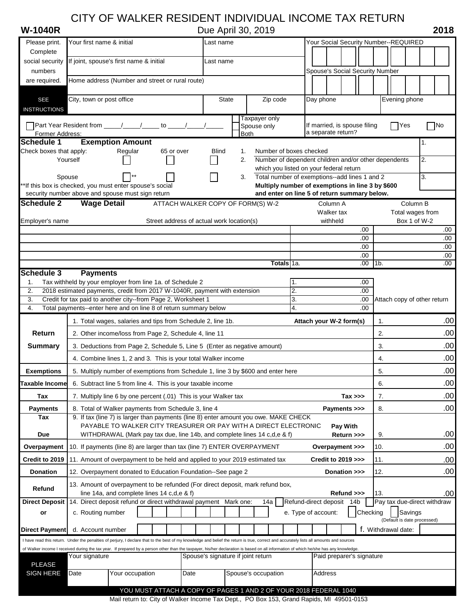# CITY OF WALKER RESIDENT INDIVIDUAL INCOME TAX RETURN

Complete

social security If joint, spouse's first name & initial Last name

**W-1040R** Due April 30, 2019 **2018**

Please print. Your first name & initial **Name Community Community** Last name Your Social Security Number--REQUIRED

| numbers                                                                                                                                                                                                                                                                                                                                                                                                                   |                                                                                                                                   |                 |                                           |      |                                    |             |                                                                                                                                              |                           |                    |            | Spouse's Social Security Number    |            |                             |              |                  |                  |
|---------------------------------------------------------------------------------------------------------------------------------------------------------------------------------------------------------------------------------------------------------------------------------------------------------------------------------------------------------------------------------------------------------------------------|-----------------------------------------------------------------------------------------------------------------------------------|-----------------|-------------------------------------------|------|------------------------------------|-------------|----------------------------------------------------------------------------------------------------------------------------------------------|---------------------------|--------------------|------------|------------------------------------|------------|-----------------------------|--------------|------------------|------------------|
| are required.                                                                                                                                                                                                                                                                                                                                                                                                             | Home address (Number and street or rural route)                                                                                   |                 |                                           |      |                                    |             |                                                                                                                                              |                           |                    |            |                                    |            |                             |              |                  |                  |
| <b>SEE</b>                                                                                                                                                                                                                                                                                                                                                                                                                | City, town or post office                                                                                                         |                 |                                           |      | <b>State</b>                       |             | Zip code                                                                                                                                     |                           | Day phone          |            |                                    |            | Evening phone               |              |                  |                  |
| <b>INSTRUCTIONS</b>                                                                                                                                                                                                                                                                                                                                                                                                       |                                                                                                                                   |                 |                                           |      |                                    |             | Taxpayer only                                                                                                                                |                           |                    |            |                                    |            |                             |              |                  |                  |
| Former Address:                                                                                                                                                                                                                                                                                                                                                                                                           | Part Year Resident from _____/_____/_____ to _____/____                                                                           |                 |                                           |      |                                    | <b>Both</b> | Spouse only                                                                                                                                  |                           | a separate return? |            | If married, is spouse filing       |            | <b>TYes</b>                 |              | <b>No</b>        |                  |
| Schedule 1                                                                                                                                                                                                                                                                                                                                                                                                                | <b>Exemption Amount</b>                                                                                                           |                 |                                           |      |                                    |             |                                                                                                                                              |                           |                    |            |                                    |            |                             |              | 1.               |                  |
| Check boxes that apply:                                                                                                                                                                                                                                                                                                                                                                                                   | Yourself                                                                                                                          | Regular         | 65 or over                                |      | <b>Blind</b>                       | 1.<br>2.    | Number of boxes checked<br>Number of dependent children and/or other dependents                                                              |                           |                    |            |                                    |            |                             |              | 2.               |                  |
|                                                                                                                                                                                                                                                                                                                                                                                                                           |                                                                                                                                   |                 |                                           |      |                                    |             | which you listed on your federal return                                                                                                      |                           |                    |            |                                    |            |                             |              |                  |                  |
| **If this box is checked, you must enter spouse's social                                                                                                                                                                                                                                                                                                                                                                  | Spouse                                                                                                                            |                 |                                           |      |                                    | 3.          | Total number of exemptions--add lines 1 and 2<br>Multiply number of exemptions in line 3 by \$600                                            |                           |                    |            |                                    |            |                             |              | 3.               |                  |
| Schedule 2                                                                                                                                                                                                                                                                                                                                                                                                                | security number above and spouse must sign return<br><b>Wage Detail</b>                                                           |                 | ATTACH WALKER COPY OF FORM(S) W-2         |      |                                    |             | and enter on line 5 of return summary below.                                                                                                 |                           |                    | Column A   |                                    |            |                             | Column B     |                  |                  |
|                                                                                                                                                                                                                                                                                                                                                                                                                           |                                                                                                                                   |                 |                                           |      |                                    |             |                                                                                                                                              |                           |                    | Walker tax |                                    |            |                             |              | Total wages from |                  |
| Employer's name                                                                                                                                                                                                                                                                                                                                                                                                           |                                                                                                                                   |                 | Street address of actual work location(s) |      |                                    |             |                                                                                                                                              |                           |                    | withheld   |                                    |            |                             | Box 1 of W-2 |                  |                  |
|                                                                                                                                                                                                                                                                                                                                                                                                                           |                                                                                                                                   |                 |                                           |      |                                    |             |                                                                                                                                              |                           |                    |            | .00<br>.00                         |            |                             |              |                  | .00<br>.00       |
|                                                                                                                                                                                                                                                                                                                                                                                                                           |                                                                                                                                   |                 |                                           |      |                                    |             |                                                                                                                                              |                           |                    |            | .00                                |            |                             |              |                  | .00              |
|                                                                                                                                                                                                                                                                                                                                                                                                                           |                                                                                                                                   |                 |                                           |      |                                    |             | Totals 1a.                                                                                                                                   |                           |                    |            | .00                                | $.00$ 1b.  |                             |              |                  | .00<br>.00       |
| <b>Schedule 3</b>                                                                                                                                                                                                                                                                                                                                                                                                         | <b>Payments</b>                                                                                                                   |                 |                                           |      |                                    |             |                                                                                                                                              |                           |                    |            |                                    |            |                             |              |                  |                  |
| 1.                                                                                                                                                                                                                                                                                                                                                                                                                        | Tax withheld by your employer from line 1a. of Schedule 2                                                                         |                 |                                           |      |                                    |             |                                                                                                                                              | 1.                        |                    |            | .00.                               |            |                             |              |                  |                  |
| 2.                                                                                                                                                                                                                                                                                                                                                                                                                        | 2018 estimated payments, credit from 2017 W-1040R, payment with extension                                                         |                 |                                           |      |                                    |             |                                                                                                                                              | $\overline{2}$ .<br>3.    |                    |            | .00.                               |            |                             |              |                  |                  |
| 3.<br>4.                                                                                                                                                                                                                                                                                                                                                                                                                  | Credit for tax paid to another city--from Page 2, Worksheet 1<br>Total payments--enter here and on line 8 of return summary below |                 |                                           |      |                                    |             |                                                                                                                                              | 4.                        |                    |            | .00<br>.00                         |            | Attach copy of other return |              |                  |                  |
|                                                                                                                                                                                                                                                                                                                                                                                                                           | 1. Total wages, salaries and tips from Schedule 2, line 1b.                                                                       |                 |                                           |      |                                    |             |                                                                                                                                              |                           |                    |            | Attach your W-2 form(s)            | 1.         |                             |              |                  | .00              |
| Return                                                                                                                                                                                                                                                                                                                                                                                                                    | 2. Other income/loss from Page 2, Schedule 4, line 11                                                                             |                 |                                           |      |                                    |             |                                                                                                                                              |                           |                    |            |                                    | 2.         |                             |              |                  | .00              |
| <b>Summary</b>                                                                                                                                                                                                                                                                                                                                                                                                            | 3. Deductions from Page 2, Schedule 5, Line 5 (Enter as negative amount)                                                          |                 |                                           |      |                                    |             |                                                                                                                                              |                           |                    |            |                                    | 3.         |                             |              |                  | .00              |
|                                                                                                                                                                                                                                                                                                                                                                                                                           | 4. Combine lines 1, 2 and 3. This is your total Walker income                                                                     |                 |                                           |      |                                    |             |                                                                                                                                              |                           |                    |            |                                    | 4.         |                             |              |                  | .00 <sub>1</sub> |
| <b>Exemptions</b>                                                                                                                                                                                                                                                                                                                                                                                                         | 5. Multiply number of exemptions from Schedule 1, line 3 by \$600 and enter here                                                  |                 |                                           |      |                                    |             |                                                                                                                                              |                           |                    |            |                                    | 5.         |                             |              |                  | .00              |
| <b>Taxable Income</b>                                                                                                                                                                                                                                                                                                                                                                                                     | 6. Subtract line 5 from line 4. This is your taxable income                                                                       |                 |                                           |      |                                    |             |                                                                                                                                              |                           |                    |            |                                    | 6.         |                             |              |                  | .00              |
| Tax                                                                                                                                                                                                                                                                                                                                                                                                                       | 7. Multiply line 6 by one percent (.01) This is your Walker tax                                                                   |                 |                                           |      |                                    |             |                                                                                                                                              |                           |                    |            | $Tax \gg$                          | 7.         |                             |              |                  | .00              |
| <b>Payments</b>                                                                                                                                                                                                                                                                                                                                                                                                           | 8. Total of Walker payments from Schedule 3, line 4                                                                               |                 |                                           |      |                                    |             |                                                                                                                                              |                           |                    |            | Payments >>>                       | 8.         |                             |              |                  | .00              |
| Tax                                                                                                                                                                                                                                                                                                                                                                                                                       | 9. If tax (line 7) is larger than payments (line 8) enter amount you owe. MAKE CHECK                                              |                 |                                           |      |                                    |             |                                                                                                                                              |                           |                    |            |                                    |            |                             |              |                  |                  |
| Due                                                                                                                                                                                                                                                                                                                                                                                                                       |                                                                                                                                   |                 |                                           |      |                                    |             | PAYABLE TO WALKER CITY TREASURER OR PAY WITH A DIRECT ELECTRONIC<br>WITHDRAWAL (Mark pay tax due, line 14b, and complete lines 14 c,d,e & f) |                           |                    |            | Pay With<br>Return >>>             | 9.         |                             |              |                  | .00              |
| Overpayment                                                                                                                                                                                                                                                                                                                                                                                                               | 10. If payments (line 8) are larger than tax (line 7) ENTER OVERPAYMENT                                                           |                 |                                           |      |                                    |             |                                                                                                                                              |                           |                    |            | Overpayment >>>                    | 10.        |                             |              |                  | .00              |
| Credit to 2019                                                                                                                                                                                                                                                                                                                                                                                                            | 11. Amount of overpayment to be held and applied to your 2019 estimated tax                                                       |                 |                                           |      |                                    |             |                                                                                                                                              |                           |                    |            | <b>Credit to 2019 &gt;&gt;&gt;</b> |            |                             |              |                  |                  |
| <b>Donation</b>                                                                                                                                                                                                                                                                                                                                                                                                           | 12. Overpayment donated to Education Foundation--See page 2                                                                       |                 |                                           |      |                                    |             |                                                                                                                                              |                           |                    |            | Donation >>>                       | 11.<br>12. |                             |              |                  | .00<br>.00       |
|                                                                                                                                                                                                                                                                                                                                                                                                                           | 13. Amount of overpayment to be refunded (For direct deposit, mark refund box,                                                    |                 |                                           |      |                                    |             |                                                                                                                                              |                           |                    |            |                                    |            |                             |              |                  |                  |
| Refund                                                                                                                                                                                                                                                                                                                                                                                                                    | line 14a, and complete lines 14 c,d,e & f)                                                                                        |                 |                                           |      |                                    |             |                                                                                                                                              |                           |                    |            | Refund >>>                         | 13.        |                             |              |                  | .00              |
| Direct Deposit   14. Direct deposit refund or direct withdrawal payment Mark one:                                                                                                                                                                                                                                                                                                                                         |                                                                                                                                   |                 |                                           |      |                                    |             | 14a                                                                                                                                          | Refund-direct deposit 14b |                    |            |                                    |            | Pay tax due-direct withdraw |              |                  |                  |
| or                                                                                                                                                                                                                                                                                                                                                                                                                        | c. Routing number                                                                                                                 |                 |                                           |      |                                    |             |                                                                                                                                              | e. Type of account:       |                    |            |                                    | Checking   | (Default is date processed) | Savings      |                  |                  |
|                                                                                                                                                                                                                                                                                                                                                                                                                           | d. Account number                                                                                                                 |                 |                                           |      |                                    |             |                                                                                                                                              |                           |                    |            |                                    |            | f. Withdrawal date:         |              |                  |                  |
|                                                                                                                                                                                                                                                                                                                                                                                                                           |                                                                                                                                   |                 |                                           |      |                                    |             |                                                                                                                                              |                           |                    |            |                                    |            |                             |              |                  |                  |
|                                                                                                                                                                                                                                                                                                                                                                                                                           |                                                                                                                                   |                 |                                           |      |                                    |             |                                                                                                                                              |                           |                    |            |                                    |            |                             |              |                  |                  |
|                                                                                                                                                                                                                                                                                                                                                                                                                           |                                                                                                                                   |                 |                                           |      |                                    |             |                                                                                                                                              |                           |                    |            |                                    |            |                             |              |                  |                  |
| <b>Direct Payment</b><br>I have read this return. Under the penalties of perjury, I declare that to the best of my knowledge and belief the return is true, correct and accurately lists all amounts and sources<br>of Walker income I received during the tax year. If prepared by a person other than the taxpayer, his/her declaration is based on all information of which he/she has any knowledge.<br><b>PLEASE</b> | Your signature                                                                                                                    |                 |                                           |      | Spouse's signature if joint return |             |                                                                                                                                              |                           |                    |            | Paid preparer's signature          |            |                             |              |                  |                  |
| <b>SIGN HERE</b>                                                                                                                                                                                                                                                                                                                                                                                                          | Date                                                                                                                              | Your occupation |                                           | Date |                                    |             | Spouse's occupation                                                                                                                          |                           | Address            |            |                                    |            |                             |              |                  |                  |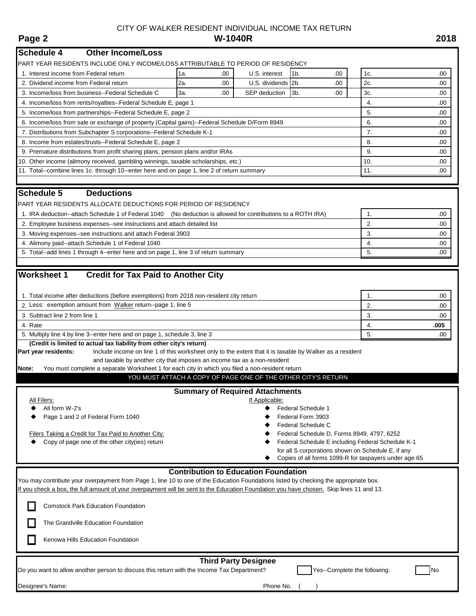**Schedule 4 Other Income/Loss**

**Schedule 5 Deductions**

**(Credit is limited to actual tax liability from other city's return)**

PART YEAR RESIDENTS INCLUDE ONLY INCOME/LOSS ATTRIBUTABLE TO PERIOD OF RESIDENCY

# CITY OF WALKER RESIDENT INDIVIDUAL INCOME TAX RETURN **Page 2 W-1040R 2018**

1. Interest income from Federal return 1a. 1a. 1a. 1a. 1a. 1a. 1a. 1a. 1a. 200 | U.S. interest 1b. 200 | 1c. 200 | 1c. 200 | 1c. 200 | 1c. 200 | 1c. 200 | 1c. 200 | 1c. 200 | 1c. 200 | 1c. 200 | 1c. 200 | 1c. 200 | 1c. 200 2. Dividend income from Federal return 2a. 20 0 U.S. dividends 2b. . .00 2c. . . .00 2c.

3. Income/loss from business--Federal Schedule C 3a. .00 SEP deduction 3b. .00 3c. .00 4. Income/loss from rents/royalties--Federal Schedule E, page 1 4. . .000 and 200 and 200 and 200 and 200 and 200 and 200 and 200 and 200 and 200 and 200 and 200 and 200 and 200 and 200 and 200 and 200 and 200 and 200 and 5. Income/loss from partnerships--Federal Schedule E, page 2 5. .000 \ 5. 6. Income/loss from sale or exchange of property (Capital gains)--Federal Schedule D/Form 8949 6. .000 6. 7. Distributions from Subchapter S corporations--Federal Schedule K-1 7. . .00 8. Income from estates/trusts--Federal Schedule E, page 2 8. .000 and 3 8. .000 and 3 8. .000 and 3 8. .000 and 3 8. .000 and 3 8. .000 and 3 8. .000 and 3 8. .000 and 3 8. .000 and 3 8. .000 and 3 8. .000 and 3 8. .000 an 9. Premature distributions from profit sharing plans, pension plans and/or IRAs 9. . .00 10. Other income (alimony received, gambling winnings, taxable scholarships, etc.) 10. .00 11. Total--combine lines 1c. through 10--enter here and on page 1, line 2 of return summary 11. .00 PART YEAR RESIDENTS ALLOCATE DEDUCTIONS FOR PERIOD OF RESIDENCY 1. IRA deduction--attach Schedule 1 of Federal 1040 (No deduction is allowed for contributions to a ROTH IRA) 1. 2. Employee business expenses--see instructions and attach detailed list 2. . . .00 .00 3. Moving expenses--see instructions and attach Federal 3903 **3.** .000 **3.** .000 **3.** .000 **3.** .000 **3.** .000 **3.** .000 **3.** .000 **3.** .000 **3.** .000 **3.** .000 **3.** .000 **3.** .000 **3.** .000 **3.** .000 **3.** .000 **3.** .000 4. Alimony paid--attach Schedule 1 of Federal 1040 **4.** Alimony paid--attach Schedule 1 of Federal 1040 **4.** . . .000 5. Total--add lines 1 through 4--enter here and on page 1, line 3 of return summary 5. **Worksheet 1 Credit for Tax Paid to Another City** 1. Total income after deductions (before exemptions) from 2018 non-resident city return 1. .000 and 1. .000 and 1. 2. Less: exemption amount from Walker return--page 1, line 5 2. 2. .00 3. Subtract line 2 from line 1 3. .00 4. Rate 4. **.005** 5. Multiply line 4 by line 3--enter here and on page 1, schedule 3, line 3 5. .000  $\,$  5. Part year residents: Include income on line 1 of this worksheet only to the extent that it is taxable by Walker as a resident and taxable by another city that imposes an income tax as a non-resident **Note:** You must complete a separate Worksheet 1 for each city in which you filed a non-resident return **Summary of Required Attachments** All Filers: **If Applicable:** If Applicable: All form W-2's and the set of the set of the set of the set of the set of the set of the set of the set of the set of the set of the set of the set of the set of the set of the set of the set of the set of the set of the Page 1 and 2 of Federal Form 1040 **Federal Form 3903 +** Federal Form 3903 Federal Schedule C Filers Taking a Credit for Tax Paid to Another City:  $\blacklozenge$  Federal Schedule D, Forms 8949, 4797, 6252 ◆ Copy of page one of the other city(ies) return **Federal Schedule E** including Federal Schedule K-1 for all S corporations shown on Schedule E, if any YOU MUST ATTACH A COPY OF PAGE ONE OF THE OTHER CITY'S RETURN

Copies of all forms 1099-R for taxpayers under age 65

# **Contribution to Education Foundation**

You may contribute your overpayment from Page 1, line 10 to one of the Education Foundations listed by checking the appropriate box. If you check a box, the full amount of your overpayment will be sent to the Education Foundation you have chosen. Skip lines 11 and 13. Comstock Park Education Foundation The Grandville Education Foundation Kenowa Hills Education Foundation Do you want to allow another person to discuss this return with the Income Tax Department? Yes--Complete the following: <br> **Third Party Designee**

Designee's Name: Phone No. ( ) and the state of the state of the state of the state of the Phone No.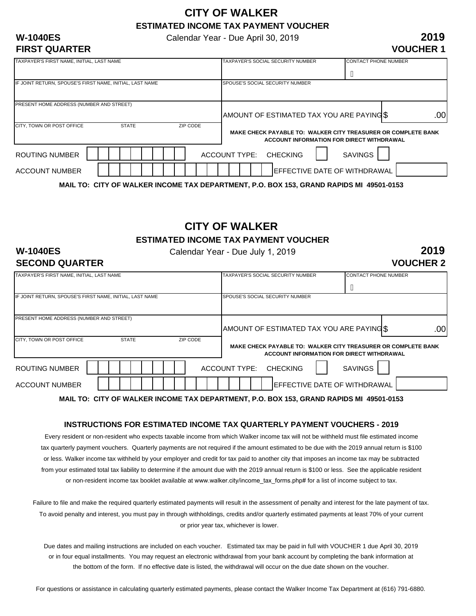# **CITY OF WALKER ESTIMATED INCOME TAX PAYMENT VOUCHER**

Calendar Year - Due April 30, 2019

# **FIRST QUARTER**

**W-1040ES**

# **2019 VOUCHER 1**

| TAXPAYER'S FIRST NAME, INITIAL, LAST NAME                |              |          | TAXPAYER'S SOCIAL SECURITY NUMBER       | <b>CONTACT PHONE NUMBER</b>                                   |
|----------------------------------------------------------|--------------|----------|-----------------------------------------|---------------------------------------------------------------|
|                                                          |              |          |                                         | $\overline{\mathsf{A}}$                                       |
| IF JOINT RETURN, SPOUSE'S FIRST NAME, INITIAL, LAST NAME |              |          | SPOUSE'S SOCIAL SECURITY NUMBER         |                                                               |
| <b>PRESENT HOME ADDRESS (NUMBER AND STREET)</b>          |              |          | AMOUNT OF ESTIMATED TAX YOU ARE PAYINGS | .00                                                           |
| <b>ICITY. TOWN OR POST OFFICE</b>                        | <b>STATE</b> | ZIP CODE |                                         | MAKE CHECK PAYABLE TO: WALKER CITY TREASURER OR COMPLETE BANK |
| ROUTING NUMBER                                           |              |          | ACCOUNT TYPE: CHECKING                  | ACCOUNT INFORMATION FOR DIRECT WITHDRAWAL<br><b>SAVINGS</b>   |
| ACCOUNT NUMBER                                           |              |          |                                         | <b>IEFFECTIVE DATE OF WITHDRAWAL</b>                          |

**MAIL TO: CITY OF WALKER INCOME TAX DEPARTMENT, P.O. BOX 153, GRAND RAPIDS MI 49501-0153**

# **CITY OF WALKER**

**ESTIMATED INCOME TAX PAYMENT VOUCHER**

# **W-1040ES SECOND QUARTER**

Calendar Year - Due July 1, 2019

**2019 VOUCHER 2**

| TAXPAYER'S FIRST NAME, INITIAL, LAST NAME                |              | TAXPAYER'S SOCIAL SECURITY NUMBER | <b>CONTACT PHONE NUMBER</b>                                                                |                                                                                                                   |
|----------------------------------------------------------|--------------|-----------------------------------|--------------------------------------------------------------------------------------------|-------------------------------------------------------------------------------------------------------------------|
|                                                          |              |                                   |                                                                                            | $\overline{A}$                                                                                                    |
| IF JOINT RETURN, SPOUSE'S FIRST NAME, INITIAL, LAST NAME |              |                                   | SPOUSE'S SOCIAL SECURITY NUMBER                                                            |                                                                                                                   |
| PRESENT HOME ADDRESS (NUMBER AND STREET)                 |              |                                   |                                                                                            |                                                                                                                   |
|                                                          |              |                                   | AMOUNT OF ESTIMATED TAX YOU ARE PAYING \$                                                  | .00                                                                                                               |
| CITY, TOWN OR POST OFFICE                                | <b>STATE</b> | ZIP CODE                          |                                                                                            | <b>MAKE CHECK PAYABLE TO: WALKER CITY TREASURER OR COMPLETE BANK</b><br>ACCOUNT INFORMATION FOR DIRECT WITHDRAWAL |
| <b>ROUTING NUMBER</b>                                    |              |                                   | <b>ACCOUNT TYPE:</b><br><b>CHECKING</b>                                                    | <b>SAVINGS</b>                                                                                                    |
| <b>ACCOUNT NUMBER</b>                                    |              |                                   |                                                                                            | <b>IEFFECTIVE DATE OF WITHDRAWAL</b>                                                                              |
|                                                          |              |                                   | MAIL TO. CITY OF WALLED INCOME TAV BERADTMENT, R.O. BOV 459, ORANIB RADIBO ML. 40504.0459. |                                                                                                                   |

**MAIL TO: CITY OF WALKER INCOME TAX DEPARTMENT, P.O. BOX 153, GRAND RAPIDS MI 49501-0153**

# **INSTRUCTIONS FOR ESTIMATED INCOME TAX QUARTERLY PAYMENT VOUCHERS - 2019**

Every resident or non-resident who expects taxable income from which Walker income tax will not be withheld must file estimated income tax quarterly payment vouchers. Quarterly payments are not required if the amount estimated to be due with the 2019 annual return is \$100 or less. Walker income tax withheld by your employer and credit for tax paid to another city that imposes an income tax may be subtracted from your estimated total tax liability to determine if the amount due with the 2019 annual return is \$100 or less. See the applicable resident or non-resident income tax booklet available at www.walker.city/income\_tax\_forms.php# for a list of income subject to tax.

Failure to file and make the required quarterly estimated payments will result in the assessment of penalty and interest for the late payment of tax. To avoid penalty and interest, you must pay in through withholdings, credits and/or quarterly estimated payments at least 70% of your current or prior year tax, whichever is lower.

Due dates and mailing instructions are included on each voucher. Estimated tax may be paid in full with VOUCHER 1 due April 30, 2019 or in four equal installments. You may request an electronic withdrawal from your bank account by completing the bank information at the bottom of the form. If no effective date is listed, the withdrawal will occur on the due date shown on the voucher.

For questions or assistance in calculating quarterly estimated payments, please contact the Walker Income Tax Department at (616) 791-6880.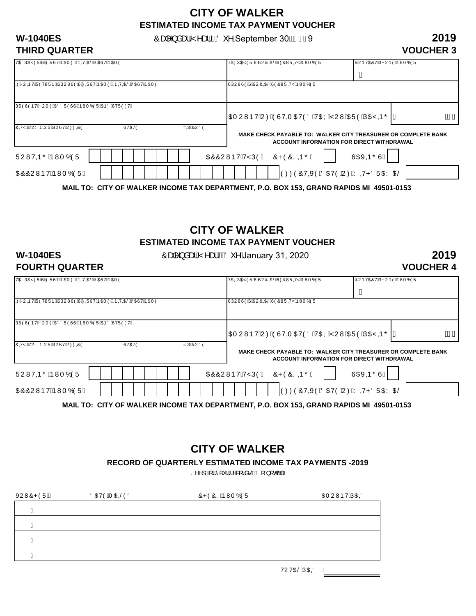# **CITY OF WALKER ESTIMATED INCOME TAX PAYMENT VOUCHER**

**W-1040ES**  $\hat{O}_{\alpha} \rightarrow \hat{A} \rightarrow \hat{A} \rightarrow \hat{B}$ 

# **THIRD QUARTER**

# **2019 VOUCHER 3**

**2019**

**VOUCHER 4**

| VŒYÚŒŸÒÜCÙÁØŒÜVÁÞŒITÒÉÁDÞQVODÉÉŘŠŒÚVÁÞŒITÒ                    |       |                | VŒYÚŒŸÒÜCÙÂJUÔ@EŠÁÙÒÔWÜQYŸÁÞWTÓÒÜ                                                                                 | ÔUÞVŒÔVÁÚPUÞÒÁÞWTÓÒÜ                     |
|---------------------------------------------------------------|-------|----------------|-------------------------------------------------------------------------------------------------------------------|------------------------------------------|
|                                                               |       |                |                                                                                                                   | A                                        |
| @AFFU@LYAÜOVWÜÞÉAÚÚUWÙO`QÚÆ@UÙVÁÞŒET O`EADP@NEŠÉRŠŒLIVÁÞŒET O |       |                | <u>ÙÚU WÙÒCUÂU ÔQUỐÂÙÒÔWÜQY Á EVIT ÓÒÜ</u>                                                                        |                                          |
|                                                               |       |                |                                                                                                                   |                                          |
| ÚÜÒÙÒÞVÁPUT ÒÁDEÖÖÜÒÙÙÁDWT ÓÒÜÁDEÖÄJVÜÒÒVD                    |       |                |                                                                                                                   |                                          |
|                                                               |       |                | OETU VNÞVÁU Ø 4ÖÙVOTOBVÖ Ö ÁVOLÝ Á VU VVÁDELÜ Ö ÁÚO BÝTOLA Á VE                                                   | Ě€€                                      |
| ÔQYŸŘÁVUYÞÁUÜÁÚUÙVÁUØØGÔÒ                                     | ÙVŒVÒ | <b>ZOJŐUÖÓ</b> | MAKE CHECK PAYABLE TO: WALKER CITY TREASURER OR COMPLETE BANK<br><b>ACCOUNT INFORMATION FOR DIRECT WITHDRAWAL</b> |                                          |
| ÜUWQÞÕÁÞWTÓÒÜ                                                 |       |                | ŒÓÔUWÞVÁ/ŸÚÒK ÔPÒÔSODŐÁ                                                                                           | ÙŒKO⊵ÕÙÁ                                 |
| <b>CEÔÔU WE VÁR WTÓÒÜÁ</b>                                    |       |                | Ò ØZÖÔVOXÒ ÄÖ ŒVÒÁU ØÁY OVPÖÜ ŒY CIŠ                                                                              |                                          |
|                                                               |       |                |                                                                                                                   | AV 156. AB 1115. BJ 515. AJU 16561. AJEA |

**MAIL TO: CITY OF WALKER INCOME TAX DEPARTMENT, P.O. BOX 153, GRAND RAPIDS MI 49501-0153**

# **ESTIMATED INCOME TAX PAYMENT VOUCHER CITY OF WALKER**

**W-1040ES**  $\hat{O}_{\hat{\mathcal{A}}}\hat{A}$  as  $\hat{A}' \hat{A}$  and  $\hat{A}$  and  $\hat{A}$  and  $\hat{A}$  and  $\hat{A}$  and  $\hat{A}$  and  $\hat{A}$  and  $\hat{A}$  and  $\hat{A}$  and  $\hat{A}$  and  $\hat{A}$  and  $\hat{A}$  and  $\hat{A}$  and  $\hat{A}$  and  $\hat{A}$  and  $\$ 

# **FOURTH QUARTER**

| VŒYÚŒŸÒÜŴÁØOÜÙVÁÞŒITÒŘÁDÞQVODŘÉŘÍSŒŮVÁÞŒITÒ                    |       |                | VŒYÚŒŸÒÜCÙÂÙUÔŒŒŠÁÙÒÔWÜQYŸÁÞWTÓÒÜ                                                       | ÔUÞVŒÔVÁJPUÞÒÁÞWT ÓÒÜ                            |     |
|----------------------------------------------------------------|-------|----------------|-----------------------------------------------------------------------------------------|--------------------------------------------------|-----|
| @AFFU@LYAÜOVWÜÞBÄÚUWÙO`QUAZQÜÙVAÞQET O`BADD QUZIŠBAGEUVAÞQET O |       |                | ÙÚU WÙÒDLÂU ÔQDIŠAÙÒÔWÜQYŸ ÁÞ WTÓÒÜ                                                     | A                                                |     |
| ÚÜÒÙÒÞVÆUT ÒÁDÖÖÜÒÙÙÁÞWT ÓÒÜÁDÐÖÄJVÜÒÒVD                       |       |                | OETU WÞVÁU Ø Á ÓÙ VOTOBÝ Ó Ó Á VOKKVAT Ö VOKKVAT TO Í A                                 |                                                  | È€€ |
| ÔQYPÁVUY ÞÁUÜÁÚUÙVÁUØØGÔÓ                                      | ÙVŒVÒ | <b>ZOÚÔUÖÒ</b> | MAKE CHECK PAYABLE TO: WALKER CITY TREASURER OR COMPLETE BANK                           | <b>ACCOUNT INFORMATION FOR DIRECT WITHDRAWAL</b> |     |
| ÜUWQQÕÁPWTÓÒÜ                                                  |       |                | ŒÔÔUWÞVÁYÚÒK ÔPÒÔSODŐÁ                                                                  | ÙŒKO⊵ÕÙÁ                                         |     |
| <b>CEÔÔU WE VÁ E WTÓÒÜÁ</b>                                    |       |                |                                                                                         | Ò Ø ZÓ VOXÒ Á Ö O LO Ó Á V Ø V PÖ Ü O LY O LÖ    |     |
|                                                                |       |                | MAIL TO: CITY OF WALKER INCOME TAX DEPARTMENT, P.O. BOX 153, GRAND RAPIDS MI 49501-0153 |                                                  |     |

**CITY OF WALKER**

**RECORD OF QUARTERLY ESTIMATED INCOME TAX PAYMENTS -2019**

S^^] Á{¦Á[ `¦Á^&[¦å• ÁŽÖ[ Á [ oÁÃ]^

| ÖŒUÒÁT DESŠÓÖ | ÔPÒÔSÁÞWTÓÒÜ | OF UWP VÁ JOEOD |
|---------------|--------------|-----------------|
|               |              |                 |
|               |              |                 |
|               |              |                 |
|               |              |                 |
|               |              |                 |

VUVOBŠÁÚOEOÖ Å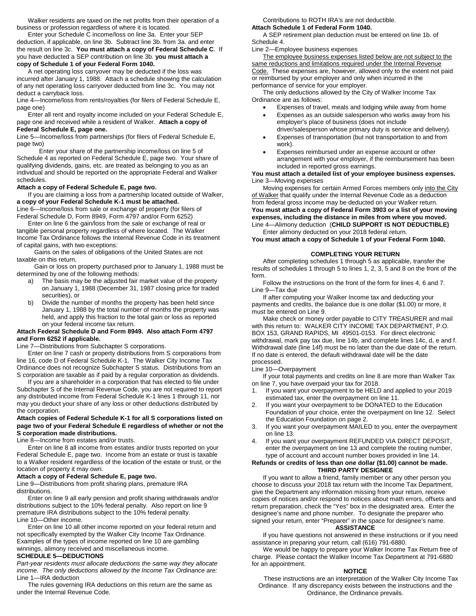Walker residents are taxed on the net profits from their operation of a business or profession regardless of where it is located.

Enter your Schedule C income/loss on line 3a. Enter your SEP deduction, if applicable, on line 3b. Subtract line 3b. from 3a. and enter the result on line 3c. **You must attach a copy of Federal Schedule C**. If you have deducted a SEP contribution on line 3b. **you must attach a copy of Schedule 1 of your Federal Form 1040.**

A net operating loss carryover may be deducted if the loss was incurred after January 1, 1988. Attach a schedule showing the calculation of any net operating loss carryover deducted from line 3c. You may not deduct a carryback loss.

Line 4—Income/loss from rents/royalties (for filers of Federal Schedule E, page one)

Enter all rent and royalty income included on your Federal Schedule E, page one and received while a resident of Walker. **Attach a copy of Federal Schedule E, page one.**

Line 5—Income/loss from partnerships (for filers of Federal Schedule E, page two)

Enter your share of the partnership income/loss on line 5 of Schedule 4 as reported on Federal Schedule E, page two. Your share of qualifying dividends, gains, etc. are treated as belonging to you as an individual and should be reported on the appropriate Federal and Walker schedules.

# **Attach a copy of Federal Schedule E, page two.**

If you are claiming a loss from a partnership located outside of Walker, **a copy of your Federal Schedule K-1 must be attached.** Line 6—Income/loss from sale or exchange of property (for filers of

Federal Schedule D, Form 8949, Form 4797 and/or Form 6252) Enter on line 6 the gain/loss from the sale or exchange of real or

tangible personal property regardless of where located. The Walker Income Tax Ordinance follows the Internal Revenue Code in its treatment of capital gains, with two exceptions:

 Gains on the sales of obligations of the United States are not taxable on this return.

 Gain or loss on property purchased prior to January 1, 1988 must be determined by one of the following methods:

- a) The basis may be the adjusted fair market value of the property on January 1, 1988 (December 31, 1987 closing price for traded securities), or
- b) Divide the number of months the property has been held since January 1, 1988 by the total number of months the property was held, and apply this fraction to the total gain or loss as reported on your federal income tax return.

#### **Attach Federal Schedule D and Form 8949. Also attach Form 4797 and Form 6252 if applicable.**

Line 7—Distributions from Subchapter S corporations.

Enter on line 7 cash or property distributions from S corporations from line 16, code D of Federal Schedule K-1. The Walker City Income Tax Ordinance does not recognize Subchapter S status. Distributions from an S corporation are taxable as if paid by a regular corporation as dividends.

If you are a shareholder in a corporation that has elected to file under Subchapter S of the Internal Revenue Code, you are not required to report any distributed income from Federal Schedule K-1 lines 1 through 11, nor may you deduct your share of any loss or other deductions distributed by the corporation.

### **Attach copies of Federal Schedule K-1 for all S corporations listed on page two of your Federal Schedule E regardless of whether or not the S corporation made distributions.**

Line 8—Income from estates and/or trusts.

Enter on line 8 all income from estates and/or trusts reported on your Federal Schedule E, page two. Income from an estate or trust is taxable to a Walker resident regardless of the location of the estate or trust, or the location of property it may own.

# **Attach a copy of Federal Schedule E, page two.**

Line 9—Distributions from profit sharing plans, premature IRA distributions.

Enter on line 9 all early pension and profit sharing withdrawals and/or distributions subject to the 10% federal penalty. Also report on line 9 premature IRA distributions subject to the 10% federal penalty. Line 10—Other income.

Enter on line 10 all other income reported on your federal return and not specifically exempted by the Walker City Income Tax Ordinance. Examples of the types of income reported on line 10 are gambling winnings, alimony received and miscellaneous income.

# **SCHEDULE 5—DEDUCTIONS**

*Part-year residents must allocate deductions the same way they allocate income. The only deductions allowed by the Income Tax Ordinance are:* Line 1—IRA deduction

The rules governing IRA deductions on this return are the same as under the Internal Revenue Code.

Contributions to ROTH IRA's are not deductible. **Attach Schedule 1 of Federal Form 1040.**

A SEP retirement plan deduction must be entered on line 1b. of Schedule 4.

Line 2—Employee business expenses

The employee business expenses listed below are not subject to the same reductions and limitations required under the Internal Revenue Code. These expenses are, however, allowed only to the extent not paid or reimbursed by your employer and only when incurred in the performance of service for your employer.

The only deductions allowed by the City of Walker Income Tax Ordinance are as follows:

- Expenses of travel, meals and lodging while away from home • Expenses as an outside salesperson who works away from his employer's place of business (does not include
- driver/salesperson whose primary duty is service and delivery). • Expenses of transportation (but not transportation to and from work).
- Expenses reimbursed under an expense account or other arrangement with your employer, if the reimbursement has been included in reported gross earnings.

### **You must attach a detailed list of your employee business expenses.** Line 3—Moving expenses

Moving expenses for certain Armed Forces members only into the City of Walker that qualify under the Internal Revenue Code as a deduction from federal gross income may be deducted on your Walker return. **You must attach a copy of Federal Form 3903 or a list of your moving expenses, including the distance in miles from where you moved.** Line 4—Alimony deduction (**CHILD SUPPORT IS NOT DEDUCTIBLE)**

Enter alimony deducted on your 2018 federal return. **You must attach a copy of Schedule 1 of your Federal Form 1040.**

# **COMPLETING YOUR RETURN**

After completing schedules 1 through 5 as applicable, transfer the results of schedules 1 through 5 to lines 1, 2, 3, 5 and 8 on the front of the form.

Follow the instructions on the front of the form for lines 4, 6 and 7. Line 9—Tax due

If after computing your Walker Income tax and deducting your payments and credits, the balance due is one dollar (\$1.00) or more, it must be entered on Line 9.

Make check or money order payable to CITY TREASURER and mail with this return to: WALKER CITY INCOME TAX DEPARTMENT, P.O. BOX 153, GRAND RAPIDS, MI 49501-0153. For direct electronic withdrawal, mark pay tax due, line 14b, and complete lines 14c, d, e and f. Withdrawal date (line 14f) must be no later than the due date of the return. If no date is entered, the default withdrawal date will be the date processed.

### Line 10—Overpayment

If your total payments and credits on line 8 are more than Walker Tax on line 7, you have overpaid your tax for 2018.

- 1. If you want your overpayment to be HELD and applied to your 2019 estimated tax, enter the overpayment on line 11.
- 2. If you want your overpayment to be DONATED to the Education Foundation of your choice, enter the overpayment on line 12. Select the Education Foundation on page 2.
- 3. If you want your overpayment MAILED to you, enter the overpayment on line 13.
- 4. If you want your overpayment REFUNDED VIA DIRECT DEPOSIT, enter the overpayment on line 13 and complete the routing number, type of account and account number boxes provided in line 14.

### **Refunds or credits of less than one dollar (\$1.00) cannot be made. THIRD PARTY DESIGNEE**

If you want to allow a friend, family member or any other person you choose to discuss your 2018 tax return with the Income Tax Department, give the Department any information missing from your return, receive copies of notices and/or respond to notices about math errors, offsets and return preparation, check the "Yes" box in the designated area. Enter the designee's name and phone number. To designate the preparer who signed your return, enter "Preparer" in the space for designee's name.

# **ASSISTANCE**

If you have questions not answered in these instructions or if you need assistance in preparing your return, call (616) 791-6880.

We would be happy to prepare your Walker Income Tax Return free of charge. Please contact the Walker Income Tax Department at 791-6880 for an appointment.

#### **NOTICE**

These instructions are an interpretation of the Walker City Income Tax Ordinance. If any discrepancy exists between the instructions and the Ordinance, the Ordinance prevails.